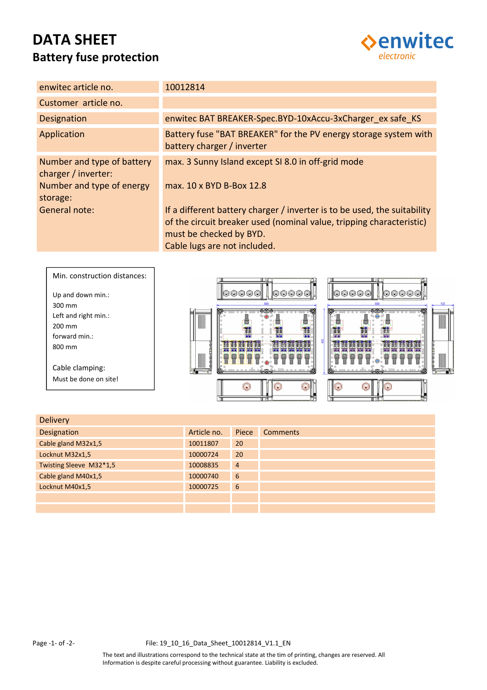# **DATA SHEET Battery fuse protection**



| enwitec article no.                                                                        | 10012814                                                                                                                                                                                                    |
|--------------------------------------------------------------------------------------------|-------------------------------------------------------------------------------------------------------------------------------------------------------------------------------------------------------------|
| Customer article no.                                                                       |                                                                                                                                                                                                             |
| <b>Designation</b>                                                                         | enwitec BAT BREAKER-Spec.BYD-10xAccu-3xCharger ex safe KS                                                                                                                                                   |
| Application                                                                                | Battery fuse "BAT BREAKER" for the PV energy storage system with<br>battery charger / inverter                                                                                                              |
| Number and type of battery<br>charger / inverter:<br>Number and type of energy<br>storage: | max. 3 Sunny Island except SI 8.0 in off-grid mode<br>max. 10 x BYD B-Box 12.8                                                                                                                              |
| General note:                                                                              | If a different battery charger / inverter is to be used, the suitability<br>of the circuit breaker used (nominal value, tripping characteristic)<br>must be checked by BYD.<br>Cable lugs are not included. |



| <b>Delivery</b>         |             |                |                 |
|-------------------------|-------------|----------------|-----------------|
| Designation             | Article no. | Piece          | <b>Comments</b> |
| Cable gland M32x1,5     | 10011807    | 20             |                 |
| Locknut M32x1,5         | 10000724    | 20             |                 |
| Twisting Sleeve M32*1,5 | 10008835    | $\overline{4}$ |                 |
| Cable gland M40x1,5     | 10000740    | 6              |                 |
| Locknut M40x1,5         | 10000725    | 6              |                 |
|                         |             |                |                 |
|                         |             |                |                 |